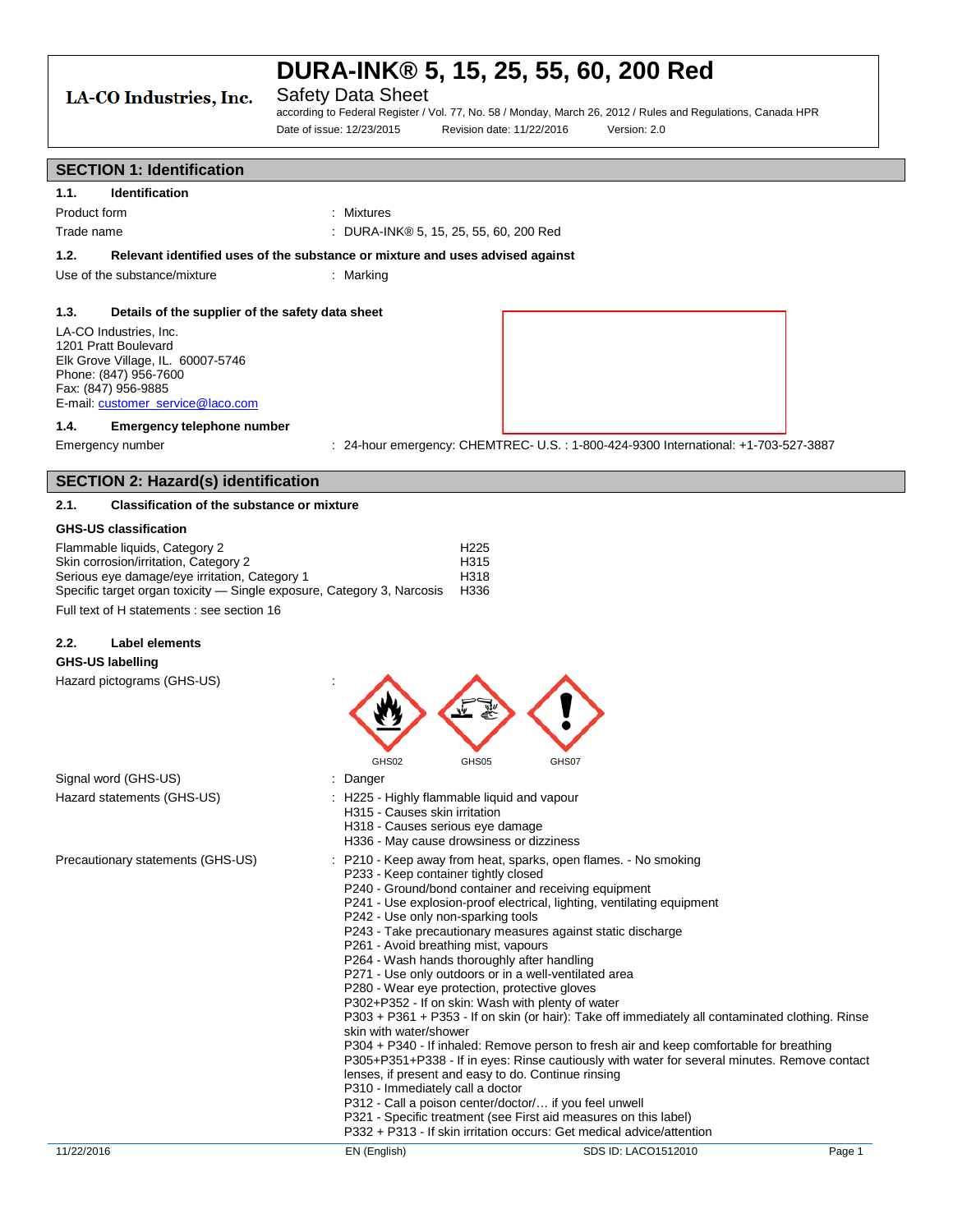## LA-CO Industries, Inc.

## Safety Data Sheet

according to Federal Register / Vol. 77, No. 58 / Monday, March 26, 2012 / Rules and Regulations, Canada HPR Date of issue: 12/23/2015 Revision date: 11/22/2016 Version: 2.0

### **SECTION 1: Identification**

| 1.1.         | <b>Identification</b> |                                        |
|--------------|-----------------------|----------------------------------------|
| Product form |                       | : Mixtures                             |
| Trade name   |                       | : DURA-INK® 5, 15, 25, 55, 60, 200 Red |

**1.2. Relevant identified uses of the substance or mixture and uses advised against**

Use of the substance/mixture : Marking

### **1.3. Details of the supplier of the safety data sheet**

LA-CO Industries, Inc. 1201 Pratt Boulevard Elk Grove Village, IL. 60007-5746 Phone: (847) 956-7600 Fax: (847) 956-9885 E-mail: [customer\\_service@laco.com](mailto:customer_service@laco.com)



## **1.4. Emergency telephone number**

Emergency number : 24-hour emergency: CHEMTREC- U.S. : 1-800-424-9300 International: +1-703-527-3887

## **SECTION 2: Hazard(s) identification**

### **2.1. Classification of the substance or mixture**

### **GHS-US classification**

| Flammable liquids. Category 2                                          | H <sub>225</sub> |
|------------------------------------------------------------------------|------------------|
| Skin corrosion/irritation. Category 2                                  | H315             |
| Serious eye damage/eye irritation, Category 1                          | H318             |
| Specific target organ toxicity — Single exposure, Category 3, Narcosis | H336             |
| Full tout of Historical contractors and the 40                         |                  |

Full text of H statements : see section 16

## **2.2. Label elements**

### **GHS-US labelling**

Hazard pictograms (GHS-US) :

|                                   |          | GHS02                         | GHS05                                                                                                                                                                                                                                                  | GHS07                                                                                                                                                                                                                                                                               |                                                                                                                                                                                                                                                                                                                                                                                                                                                                                                                                                                                                                                                      |        |
|-----------------------------------|----------|-------------------------------|--------------------------------------------------------------------------------------------------------------------------------------------------------------------------------------------------------------------------------------------------------|-------------------------------------------------------------------------------------------------------------------------------------------------------------------------------------------------------------------------------------------------------------------------------------|------------------------------------------------------------------------------------------------------------------------------------------------------------------------------------------------------------------------------------------------------------------------------------------------------------------------------------------------------------------------------------------------------------------------------------------------------------------------------------------------------------------------------------------------------------------------------------------------------------------------------------------------------|--------|
| Signal word (GHS-US)              | : Danger |                               |                                                                                                                                                                                                                                                        |                                                                                                                                                                                                                                                                                     |                                                                                                                                                                                                                                                                                                                                                                                                                                                                                                                                                                                                                                                      |        |
| Hazard statements (GHS-US)        |          | H315 - Causes skin irritation | : H225 - Highly flammable liquid and vapour<br>H318 - Causes serious eye damage<br>H336 - May cause drowsiness or dizziness                                                                                                                            |                                                                                                                                                                                                                                                                                     |                                                                                                                                                                                                                                                                                                                                                                                                                                                                                                                                                                                                                                                      |        |
| Precautionary statements (GHS-US) |          | skin with water/shower        | P233 - Keep container tightly closed<br>P242 - Use only non-sparking tools<br>P261 - Avoid breathing mist, vapours<br>P264 - Wash hands thoroughly after handling<br>P280 - Wear eye protection, protective gloves<br>P310 - Immediately call a doctor | P240 - Ground/bond container and receiving equipment<br>P271 - Use only outdoors or in a well-ventilated area<br>P302+P352 - If on skin: Wash with plenty of water<br>lenses, if present and easy to do. Continue rinsing<br>P312 - Call a poison center/doctor/ if you feel unwell | : P210 - Keep away from heat, sparks, open flames. - No smoking<br>P241 - Use explosion-proof electrical, lighting, ventilating equipment<br>P243 - Take precautionary measures against static discharge<br>P303 + P361 + P353 - If on skin (or hair): Take off immediately all contaminated clothing. Rinse<br>P304 + P340 - If inhaled: Remove person to fresh air and keep comfortable for breathing<br>P305+P351+P338 - If in eyes: Rinse cautiously with water for several minutes. Remove contact<br>P321 - Specific treatment (see First aid measures on this label)<br>P332 + P313 - If skin irritation occurs: Get medical advice/attention |        |
| 11/22/2016                        |          | EN (English)                  |                                                                                                                                                                                                                                                        |                                                                                                                                                                                                                                                                                     | SDS ID: LACO1512010                                                                                                                                                                                                                                                                                                                                                                                                                                                                                                                                                                                                                                  | Page 1 |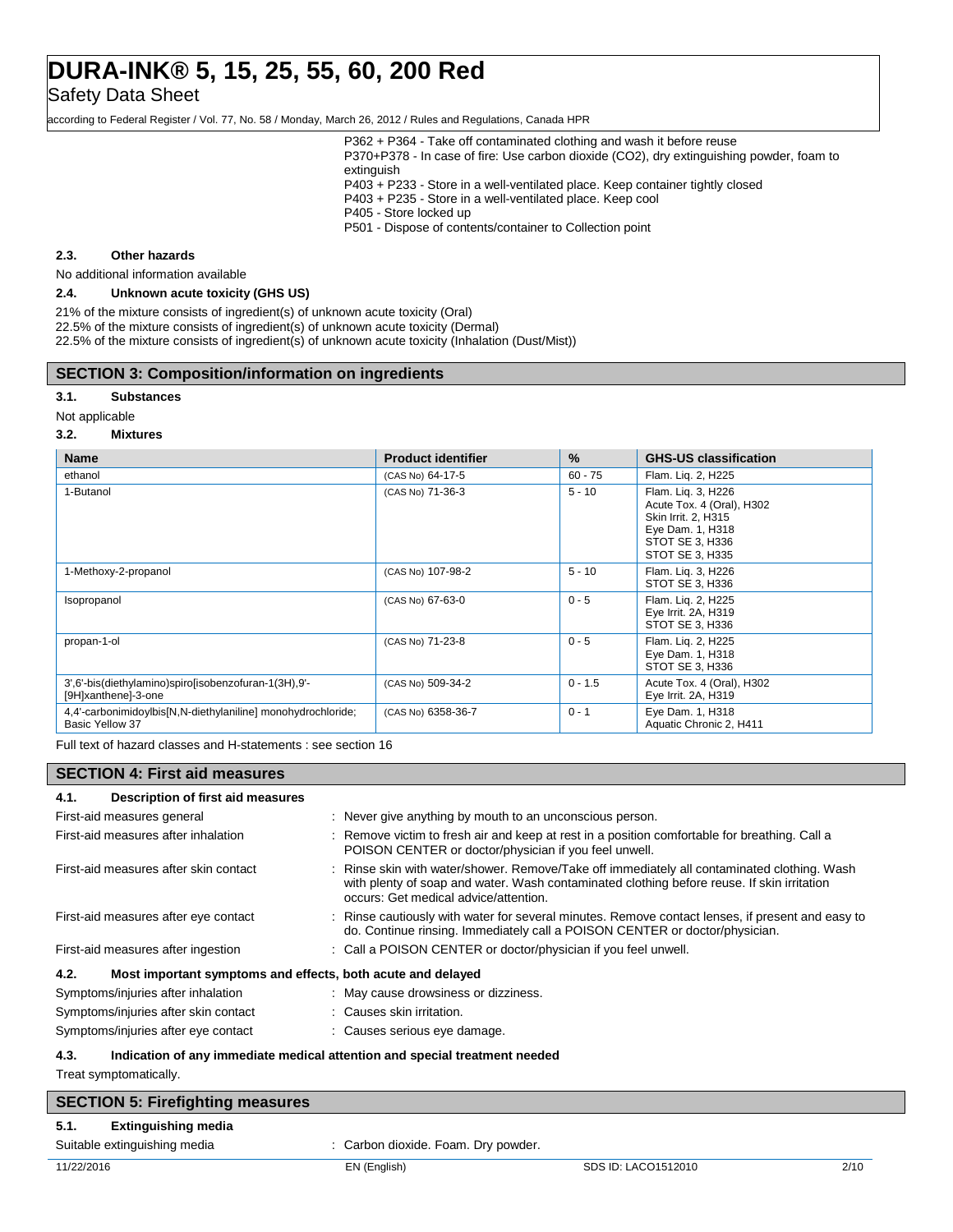Safety Data Sheet

according to Federal Register / Vol. 77, No. 58 / Monday, March 26, 2012 / Rules and Regulations, Canada HPR

P362 + P364 - Take off contaminated clothing and wash it before reuse P370+P378 - In case of fire: Use carbon dioxide (CO2), dry extinguishing powder, foam to

extinguish

P403 + P233 - Store in a well-ventilated place. Keep container tightly closed P403 + P235 - Store in a well-ventilated place. Keep cool

- P405 Store locked up
- P501 Dispose of contents/container to Collection point

### **2.3. Other hazards**

No additional information available

### **2.4. Unknown acute toxicity (GHS US)**

21% of the mixture consists of ingredient(s) of unknown acute toxicity (Oral) 22.5% of the mixture consists of ingredient(s) of unknown acute toxicity (Dermal) 22.5% of the mixture consists of ingredient(s) of unknown acute toxicity (Inhalation (Dust/Mist))

### **SECTION 3: Composition/information on ingredients**

### **3.1. Substances**

Not applicable

#### **3.2. Mixtures**

| <b>Name</b>                                                                     | <b>Product identifier</b> | $\%$      | <b>GHS-US classification</b>                                                                                                     |
|---------------------------------------------------------------------------------|---------------------------|-----------|----------------------------------------------------------------------------------------------------------------------------------|
| ethanol                                                                         | (CAS No) 64-17-5          | $60 - 75$ | Flam. Lig. 2, H225                                                                                                               |
| 1-Butanol                                                                       | (CAS No) 71-36-3          | $5 - 10$  | Flam. Lig. 3, H226<br>Acute Tox. 4 (Oral), H302<br>Skin Irrit. 2, H315<br>Eye Dam. 1, H318<br>STOT SE 3, H336<br>STOT SE 3, H335 |
| 1-Methoxy-2-propanol                                                            | (CAS No) 107-98-2         | $5 - 10$  | Flam. Lig. 3, H226<br>STOT SE 3, H336                                                                                            |
| Isopropanol                                                                     | (CAS No) 67-63-0          | $0 - 5$   | Flam. Lig. 2, H225<br>Eye Irrit. 2A, H319<br>STOT SE 3, H336                                                                     |
| propan-1-ol                                                                     | (CAS No) 71-23-8          | $0 - 5$   | Flam. Liq. 2, H225<br>Eye Dam. 1, H318<br>STOT SE 3, H336                                                                        |
| 3',6'-bis(diethylamino)spiro[isobenzofuran-1(3H),9'-<br>[9H]xanthene]-3-one     | (CAS No) 509-34-2         | $0 - 1.5$ | Acute Tox. 4 (Oral), H302<br>Eye Irrit. 2A, H319                                                                                 |
| 4,4'-carbonimidoylbis[N,N-diethylaniline] monohydrochloride;<br>Basic Yellow 37 | (CAS No) 6358-36-7        | $0 - 1$   | Eye Dam. 1, H318<br>Aquatic Chronic 2, H411                                                                                      |

Full text of hazard classes and H-statements : see section 16

### **SECTION 4: First aid measures**

| Description of first aid measures<br>4.1.                                          |                                                                                                                                                                                                                                    |
|------------------------------------------------------------------------------------|------------------------------------------------------------------------------------------------------------------------------------------------------------------------------------------------------------------------------------|
| First-aid measures general                                                         | : Never give anything by mouth to an unconscious person.                                                                                                                                                                           |
| First-aid measures after inhalation                                                | : Remove victim to fresh air and keep at rest in a position comfortable for breathing. Call a<br>POISON CENTER or doctor/physician if you feel unwell.                                                                             |
| First-aid measures after skin contact                                              | : Rinse skin with water/shower. Remove/Take off immediately all contaminated clothing. Wash<br>with plenty of soap and water. Wash contaminated clothing before reuse. If skin irritation<br>occurs: Get medical advice/attention. |
| First-aid measures after eye contact                                               | : Rinse cautiously with water for several minutes. Remove contact lenses, if present and easy to<br>do. Continue rinsing. Immediately call a POISON CENTER or doctor/physician.                                                    |
| First-aid measures after ingestion                                                 | : Call a POISON CENTER or doctor/physician if you feel unwell.                                                                                                                                                                     |
| Most important symptoms and effects, both acute and delayed<br>4.2.                |                                                                                                                                                                                                                                    |
| Symptoms/injuries after inhalation                                                 | : May cause drowsiness or dizziness.                                                                                                                                                                                               |
| Symptoms/injuries after skin contact                                               | : Causes skin irritation.                                                                                                                                                                                                          |
| Symptoms/injuries after eye contact                                                | : Causes serious eye damage.                                                                                                                                                                                                       |
| Indication of any immediate medical attention and special treatment needed<br>4.3. |                                                                                                                                                                                                                                    |

Treat symptomatically.

| <b>SECTION 5: Firefighting measures</b> |                                     |                     |      |
|-----------------------------------------|-------------------------------------|---------------------|------|
| <b>Extinguishing media</b><br>5.1.      |                                     |                     |      |
| Suitable extinguishing media            | : Carbon dioxide. Foam. Dry powder. |                     |      |
| 11/22/2016                              | EN (English)                        | SDS ID: LACO1512010 | 2/10 |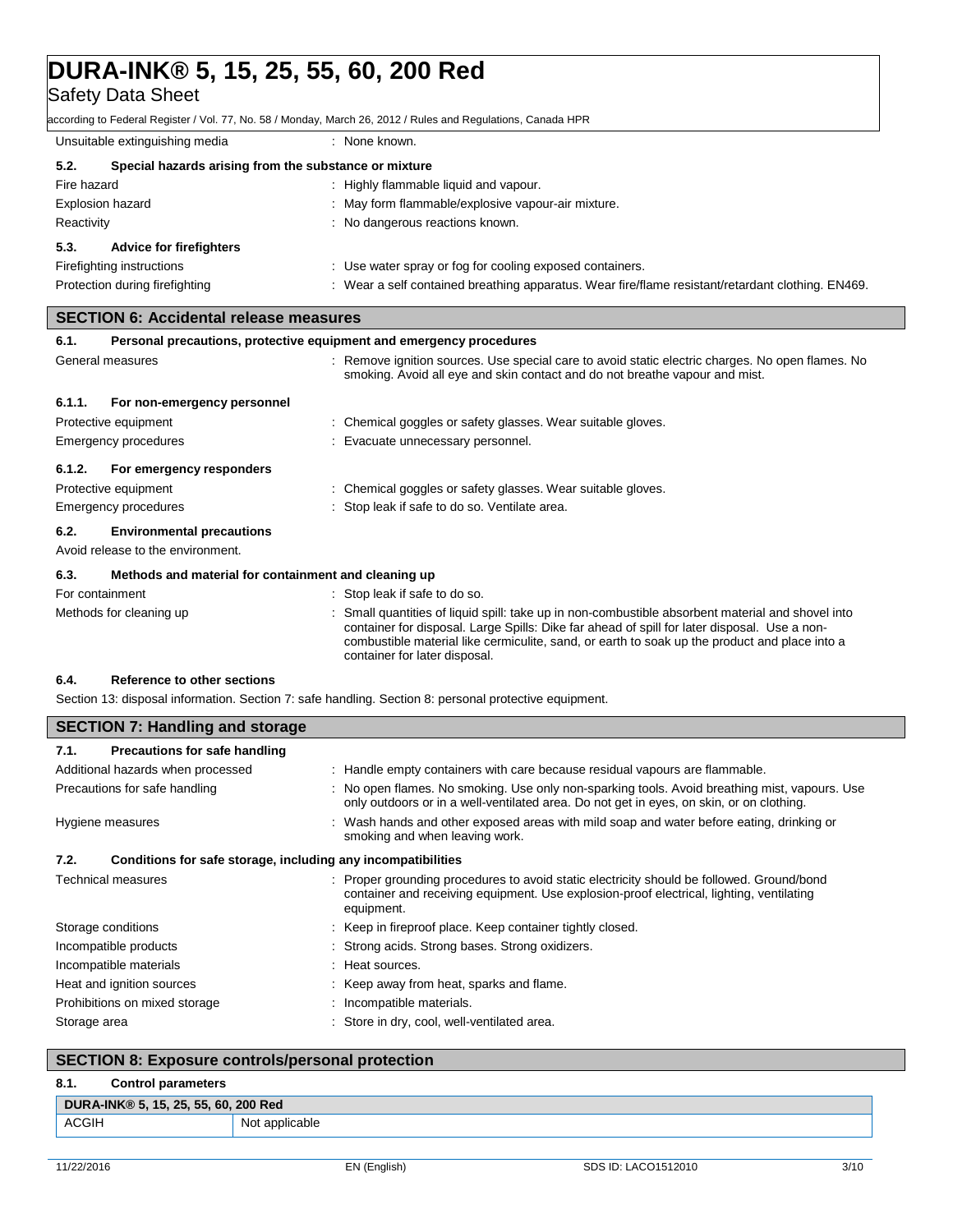Safety Data Sheet

according to Federal Register / Vol. 77, No. 58 / Monday, March 26, 2012 / Rules and Regulations, Canada HPR

| Unsuitable extinguishing media                                |                                |  | : None known.                                                                                     |
|---------------------------------------------------------------|--------------------------------|--|---------------------------------------------------------------------------------------------------|
| 5.2.<br>Special hazards arising from the substance or mixture |                                |  |                                                                                                   |
| Fire hazard                                                   |                                |  | : Highly flammable liquid and vapour.                                                             |
| <b>Explosion hazard</b>                                       |                                |  | : May form flammable/explosive vapour-air mixture.                                                |
| Reactivity                                                    |                                |  | : No dangerous reactions known.                                                                   |
| 5.3.                                                          | <b>Advice for firefighters</b> |  |                                                                                                   |
|                                                               | Firefighting instructions      |  | : Use water spray or fog for cooling exposed containers.                                          |
|                                                               | Protection during firefighting |  | : Wear a self contained breathing apparatus. Wear fire/flame resistant/retardant clothing. EN469. |

### **SECTION 6: Accidental release measures**

| 6.1.            | Personal precautions, protective equipment and emergency procedures   |                                                                                                                                                                                 |
|-----------------|-----------------------------------------------------------------------|---------------------------------------------------------------------------------------------------------------------------------------------------------------------------------|
|                 | General measures                                                      | : Remove ignition sources. Use special care to avoid static electric charges. No open flames. No<br>smoking. Avoid all eye and skin contact and do not breathe vapour and mist. |
| 6.1.1.          | For non-emergency personnel                                           |                                                                                                                                                                                 |
|                 | Protective equipment                                                  | : Chemical goggles or safety glasses. Wear suitable gloves.                                                                                                                     |
|                 | <b>Emergency procedures</b>                                           | : Evacuate unnecessary personnel.                                                                                                                                               |
| 6.1.2.          | For emergency responders                                              |                                                                                                                                                                                 |
|                 | Protective equipment                                                  | : Chemical goggles or safety glasses. Wear suitable gloves.                                                                                                                     |
|                 | <b>Emergency procedures</b>                                           | : Stop leak if safe to do so. Ventilate area.                                                                                                                                   |
| 6.2.            | <b>Environmental precautions</b><br>Avoid release to the environment. |                                                                                                                                                                                 |
| 6.3.            | Methods and material for containment and cleaning up                  |                                                                                                                                                                                 |
| For containment |                                                                       | : Stop leak if safe to do so.                                                                                                                                                   |
|                 | Methods for cleaning up                                               | Small quantities of liquid spill: take up in non-combustible absorbent material and shovel into                                                                                 |

container for later disposal.

container for disposal. Large Spills: Dike far ahead of spill for later disposal. Use a noncombustible material like cermiculite, sand, or earth to soak up the product and place into a

### **6.4. Reference to other sections**

Section 13: disposal information. Section 7: safe handling. Section 8: personal protective equipment.

| <b>SECTION 7: Handling and storage</b>                               |                                                                                                                                                                                                     |  |
|----------------------------------------------------------------------|-----------------------------------------------------------------------------------------------------------------------------------------------------------------------------------------------------|--|
| 7.1.<br>Precautions for safe handling                                |                                                                                                                                                                                                     |  |
| Additional hazards when processed                                    | : Handle empty containers with care because residual vapours are flammable.                                                                                                                         |  |
| Precautions for safe handling                                        | : No open flames. No smoking. Use only non-sparking tools. Avoid breathing mist, vapours. Use<br>only outdoors or in a well-ventilated area. Do not get in eyes, on skin, or on clothing.           |  |
| Hygiene measures                                                     | : Wash hands and other exposed areas with mild soap and water before eating, drinking or<br>smoking and when leaving work.                                                                          |  |
| Conditions for safe storage, including any incompatibilities<br>7.2. |                                                                                                                                                                                                     |  |
| Technical measures                                                   | : Proper grounding procedures to avoid static electricity should be followed. Ground/bond<br>container and receiving equipment. Use explosion-proof electrical, lighting, ventilating<br>equipment. |  |
| Storage conditions                                                   | : Keep in fireproof place. Keep container tightly closed.                                                                                                                                           |  |
| Incompatible products                                                | : Strong acids. Strong bases. Strong oxidizers.                                                                                                                                                     |  |
| Incompatible materials                                               | : Heat sources.                                                                                                                                                                                     |  |
| Heat and ignition sources                                            | : Keep away from heat, sparks and flame.                                                                                                                                                            |  |
| Prohibitions on mixed storage                                        | : Incompatible materials.                                                                                                                                                                           |  |
| Storage area                                                         | : Store in dry, cool, well-ventilated area.                                                                                                                                                         |  |

## **SECTION 8: Exposure controls/personal protection**

### **8.1. Control parameters**

| 55,60,<br>25.<br>-15<br>DURA-<br><sup>~</sup> A-INK® 5. | <b>200 Red</b>           |
|---------------------------------------------------------|--------------------------|
| <b>ACGIH</b>                                            | - Nic<br>วplicable<br>Νv |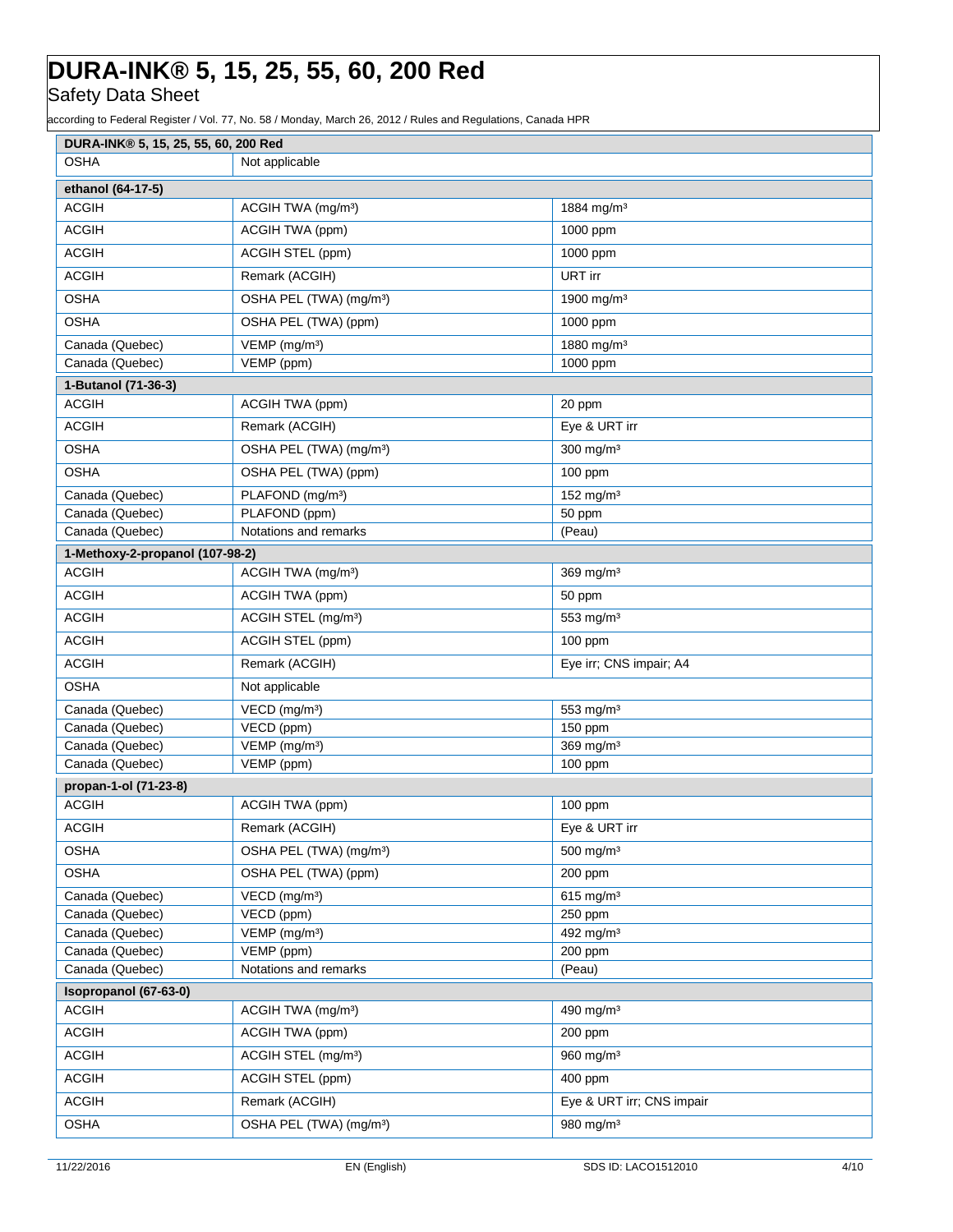Safety Data Sheet

according to Federal Register / Vol. 77, No. 58 / Monday, March 26, 2012 / Rules and Regulations, Canada HPR

| DURA-INK® 5, 15, 25, 55, 60, 200 Red |                                     |                           |
|--------------------------------------|-------------------------------------|---------------------------|
| <b>OSHA</b>                          | Not applicable                      |                           |
| ethanol (64-17-5)                    |                                     |                           |
| <b>ACGIH</b>                         | ACGIH TWA (mg/m <sup>3</sup> )      | 1884 mg/m <sup>3</sup>    |
| <b>ACGIH</b>                         | ACGIH TWA (ppm)                     | 1000 ppm                  |
| <b>ACGIH</b>                         | ACGIH STEL (ppm)                    | 1000 ppm                  |
| <b>ACGIH</b>                         | Remark (ACGIH)                      | URT irr                   |
| <b>OSHA</b>                          | OSHA PEL (TWA) (mg/m <sup>3</sup> ) | 1900 mg/m <sup>3</sup>    |
| <b>OSHA</b>                          | OSHA PEL (TWA) (ppm)                | 1000 ppm                  |
| Canada (Quebec)                      | VEMP (mg/m <sup>3</sup> )           | 1880 mg/m <sup>3</sup>    |
| Canada (Quebec)                      | VEMP (ppm)                          | 1000 ppm                  |
| 1-Butanol (71-36-3)                  |                                     |                           |
| <b>ACGIH</b>                         | ACGIH TWA (ppm)                     | 20 ppm                    |
| <b>ACGIH</b>                         | Remark (ACGIH)                      | Eye & URT irr             |
| <b>OSHA</b>                          | OSHA PEL (TWA) (mg/m <sup>3</sup> ) | 300 mg/m <sup>3</sup>     |
| <b>OSHA</b>                          | OSHA PEL (TWA) (ppm)                | $100$ ppm                 |
| Canada (Quebec)                      | PLAFOND (mg/m <sup>3</sup> )        | 152 mg/m <sup>3</sup>     |
| Canada (Quebec)                      | PLAFOND (ppm)                       | 50 ppm                    |
| Canada (Quebec)                      | Notations and remarks               | (Peau)                    |
| 1-Methoxy-2-propanol (107-98-2)      |                                     |                           |
| <b>ACGIH</b>                         | ACGIH TWA (mg/m <sup>3</sup> )      | $369$ mg/m <sup>3</sup>   |
| <b>ACGIH</b>                         | ACGIH TWA (ppm)                     | 50 ppm                    |
| <b>ACGIH</b>                         | ACGIH STEL (mg/m <sup>3</sup> )     | 553 mg/m <sup>3</sup>     |
| <b>ACGIH</b>                         | ACGIH STEL (ppm)                    | $100$ ppm                 |
| <b>ACGIH</b>                         | Remark (ACGIH)                      | Eye irr; CNS impair; A4   |
| <b>OSHA</b>                          | Not applicable                      |                           |
| Canada (Quebec)                      | VECD (mg/m <sup>3</sup> )           | 553 mg/m <sup>3</sup>     |
| Canada (Quebec)                      | VECD (ppm)                          | 150 ppm                   |
| Canada (Quebec)                      | VEMP (mg/m <sup>3</sup> )           | 369 mg/m <sup>3</sup>     |
| Canada (Quebec)                      | VEMP (ppm)                          | 100 ppm                   |
| propan-1-ol (71-23-8)                |                                     |                           |
| <b>ACGIH</b>                         | ACGIH TWA (ppm)                     | $100$ ppm                 |
| <b>ACGIH</b>                         | Remark (ACGIH)                      | Eye & URT irr             |
| <b>OSHA</b>                          | OSHA PEL (TWA) (mg/m <sup>3</sup> ) | $500$ mg/m <sup>3</sup>   |
| <b>OSHA</b>                          | OSHA PEL (TWA) (ppm)                | 200 ppm                   |
| Canada (Quebec)                      | VECD (mg/m <sup>3</sup> )           | $615$ mg/m <sup>3</sup>   |
| Canada (Quebec)                      | VECD (ppm)                          | 250 ppm                   |
| Canada (Quebec)                      | VEMP (mg/m <sup>3</sup> )           | 492 mg/m <sup>3</sup>     |
| Canada (Quebec)<br>Canada (Quebec)   | VEMP (ppm)<br>Notations and remarks | 200 ppm<br>(Peau)         |
| Isopropanol (67-63-0)                |                                     |                           |
| <b>ACGIH</b>                         | ACGIH TWA (mg/m <sup>3</sup> )      | 490 mg/m $3$              |
| <b>ACGIH</b>                         | ACGIH TWA (ppm)                     | 200 ppm                   |
| <b>ACGIH</b>                         | ACGIH STEL (mg/m <sup>3</sup> )     | 960 mg/m <sup>3</sup>     |
| <b>ACGIH</b>                         | ACGIH STEL (ppm)                    | 400 ppm                   |
| <b>ACGIH</b>                         | Remark (ACGIH)                      | Eye & URT irr; CNS impair |
| <b>OSHA</b>                          | OSHA PEL (TWA) (mg/m <sup>3</sup> ) | 980 mg/m $3$              |
|                                      |                                     |                           |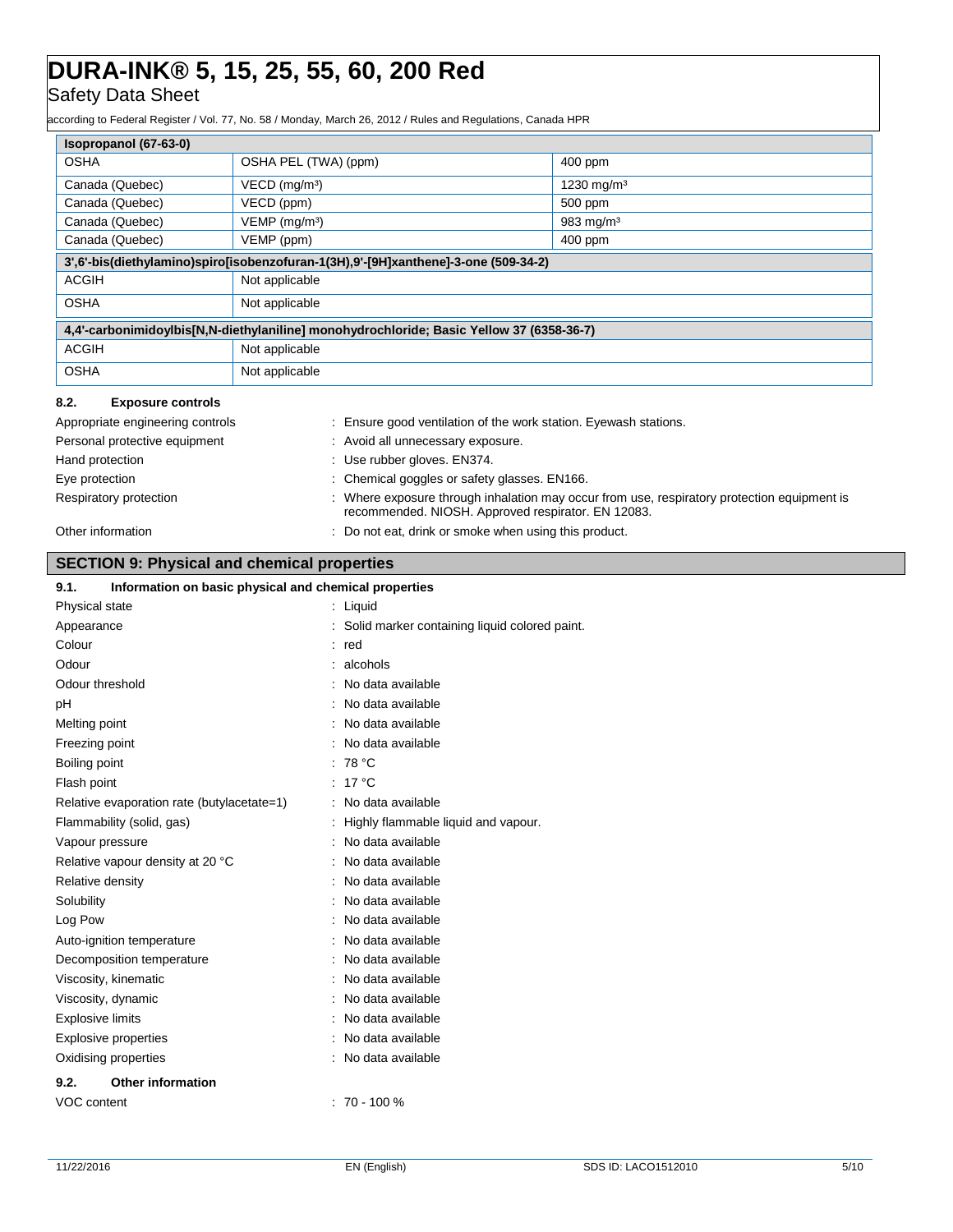## Safety Data Sheet

ording to Federal Register / Vol. 77, No. 58 / Monday, March 26, 2012 / Rules and Regulations, Canada HPR

|                                            | 400 ppm                                                                                                                                                                                                                                                                                                                                                                                                                                                                                                                                                                                                                                                                                                                                    |
|--------------------------------------------|--------------------------------------------------------------------------------------------------------------------------------------------------------------------------------------------------------------------------------------------------------------------------------------------------------------------------------------------------------------------------------------------------------------------------------------------------------------------------------------------------------------------------------------------------------------------------------------------------------------------------------------------------------------------------------------------------------------------------------------------|
|                                            | 1230 mg/m <sup>3</sup>                                                                                                                                                                                                                                                                                                                                                                                                                                                                                                                                                                                                                                                                                                                     |
|                                            | 500 ppm                                                                                                                                                                                                                                                                                                                                                                                                                                                                                                                                                                                                                                                                                                                                    |
|                                            | 983 mg/m <sup>3</sup>                                                                                                                                                                                                                                                                                                                                                                                                                                                                                                                                                                                                                                                                                                                      |
|                                            | 400 ppm                                                                                                                                                                                                                                                                                                                                                                                                                                                                                                                                                                                                                                                                                                                                    |
|                                            |                                                                                                                                                                                                                                                                                                                                                                                                                                                                                                                                                                                                                                                                                                                                            |
|                                            |                                                                                                                                                                                                                                                                                                                                                                                                                                                                                                                                                                                                                                                                                                                                            |
|                                            |                                                                                                                                                                                                                                                                                                                                                                                                                                                                                                                                                                                                                                                                                                                                            |
|                                            |                                                                                                                                                                                                                                                                                                                                                                                                                                                                                                                                                                                                                                                                                                                                            |
|                                            |                                                                                                                                                                                                                                                                                                                                                                                                                                                                                                                                                                                                                                                                                                                                            |
|                                            |                                                                                                                                                                                                                                                                                                                                                                                                                                                                                                                                                                                                                                                                                                                                            |
|                                            |                                                                                                                                                                                                                                                                                                                                                                                                                                                                                                                                                                                                                                                                                                                                            |
|                                            | : Ensure good ventilation of the work station. Eyewash stations.                                                                                                                                                                                                                                                                                                                                                                                                                                                                                                                                                                                                                                                                           |
| : Avoid all unnecessary exposure.          |                                                                                                                                                                                                                                                                                                                                                                                                                                                                                                                                                                                                                                                                                                                                            |
| : Use rubber gloves. EN374.                |                                                                                                                                                                                                                                                                                                                                                                                                                                                                                                                                                                                                                                                                                                                                            |
| Chemical goggles or safety glasses. EN166. |                                                                                                                                                                                                                                                                                                                                                                                                                                                                                                                                                                                                                                                                                                                                            |
|                                            | Where exposure through inhalation may occur from use, respiratory protection equipment is<br>recommended. NIOSH. Approved respirator. EN 12083.                                                                                                                                                                                                                                                                                                                                                                                                                                                                                                                                                                                            |
|                                            | : Do not eat, drink or smoke when using this product.                                                                                                                                                                                                                                                                                                                                                                                                                                                                                                                                                                                                                                                                                      |
|                                            |                                                                                                                                                                                                                                                                                                                                                                                                                                                                                                                                                                                                                                                                                                                                            |
|                                            |                                                                                                                                                                                                                                                                                                                                                                                                                                                                                                                                                                                                                                                                                                                                            |
|                                            |                                                                                                                                                                                                                                                                                                                                                                                                                                                                                                                                                                                                                                                                                                                                            |
|                                            |                                                                                                                                                                                                                                                                                                                                                                                                                                                                                                                                                                                                                                                                                                                                            |
| $:$ red                                    |                                                                                                                                                                                                                                                                                                                                                                                                                                                                                                                                                                                                                                                                                                                                            |
| : alcohols                                 |                                                                                                                                                                                                                                                                                                                                                                                                                                                                                                                                                                                                                                                                                                                                            |
|                                            |                                                                                                                                                                                                                                                                                                                                                                                                                                                                                                                                                                                                                                                                                                                                            |
|                                            |                                                                                                                                                                                                                                                                                                                                                                                                                                                                                                                                                                                                                                                                                                                                            |
|                                            |                                                                                                                                                                                                                                                                                                                                                                                                                                                                                                                                                                                                                                                                                                                                            |
|                                            |                                                                                                                                                                                                                                                                                                                                                                                                                                                                                                                                                                                                                                                                                                                                            |
|                                            |                                                                                                                                                                                                                                                                                                                                                                                                                                                                                                                                                                                                                                                                                                                                            |
|                                            |                                                                                                                                                                                                                                                                                                                                                                                                                                                                                                                                                                                                                                                                                                                                            |
|                                            |                                                                                                                                                                                                                                                                                                                                                                                                                                                                                                                                                                                                                                                                                                                                            |
| Highly flammable liquid and vapour.        |                                                                                                                                                                                                                                                                                                                                                                                                                                                                                                                                                                                                                                                                                                                                            |
|                                            |                                                                                                                                                                                                                                                                                                                                                                                                                                                                                                                                                                                                                                                                                                                                            |
|                                            |                                                                                                                                                                                                                                                                                                                                                                                                                                                                                                                                                                                                                                                                                                                                            |
| No data available                          |                                                                                                                                                                                                                                                                                                                                                                                                                                                                                                                                                                                                                                                                                                                                            |
| No data available                          |                                                                                                                                                                                                                                                                                                                                                                                                                                                                                                                                                                                                                                                                                                                                            |
| No data available<br>No data available     |                                                                                                                                                                                                                                                                                                                                                                                                                                                                                                                                                                                                                                                                                                                                            |
|                                            | OSHA PEL (TWA) (ppm)<br>VECD (mg/m <sup>3</sup> )<br>VECD (ppm)<br>$VEMP$ (mg/m <sup>3</sup> )<br>VEMP (ppm)<br>3',6'-bis(diethylamino)spiro[isobenzofuran-1(3H),9'-[9H]xanthene]-3-one (509-34-2)<br>Not applicable<br>Not applicable<br>4,4'-carbonimidoylbis[N,N-diethylaniline] monohydrochloride; Basic Yellow 37 (6358-36-7)<br>Not applicable<br>Not applicable<br><b>SECTION 9: Physical and chemical properties</b><br>Information on basic physical and chemical properties<br>$:$ Liquid<br>Solid marker containing liquid colored paint.<br>No data available<br>No data available<br>No data available<br>No data available<br>: 78 °C<br>: $17^{\circ}$ C<br>Relative evaporation rate (butylacetate=1)<br>No data available |

**9.2. Other information**

Auto-ignition temperature **interest and the Contract Auto-ignition** temperature intervals and the North Contract Auto-Decomposition temperature : No data available Viscosity, kinematic **intervalse in the Contract Contract Contract Contract Contract Contract Contract Contract Contract Contract Contract Contract Contract Contract Contract Contract Contract Contract Contract Contract Co** Viscosity, dynamic **intervalse and the Contract Contract Contract Contract Contract Contract Contract Contract Contract Contract Contract Contract Contract Contract Contract Contract Contract Contract Contract Contract Con** Explosive limits **Explosive Limits Explosive Limits Explosive Limits Explosive Limits EXPLOSIVE 2018** Explosive properties **in the set of the COV** and the September of the September 2016 : No data available Oxidising properties **in the Community Community** Contract available

VOC content : 70 - 100 %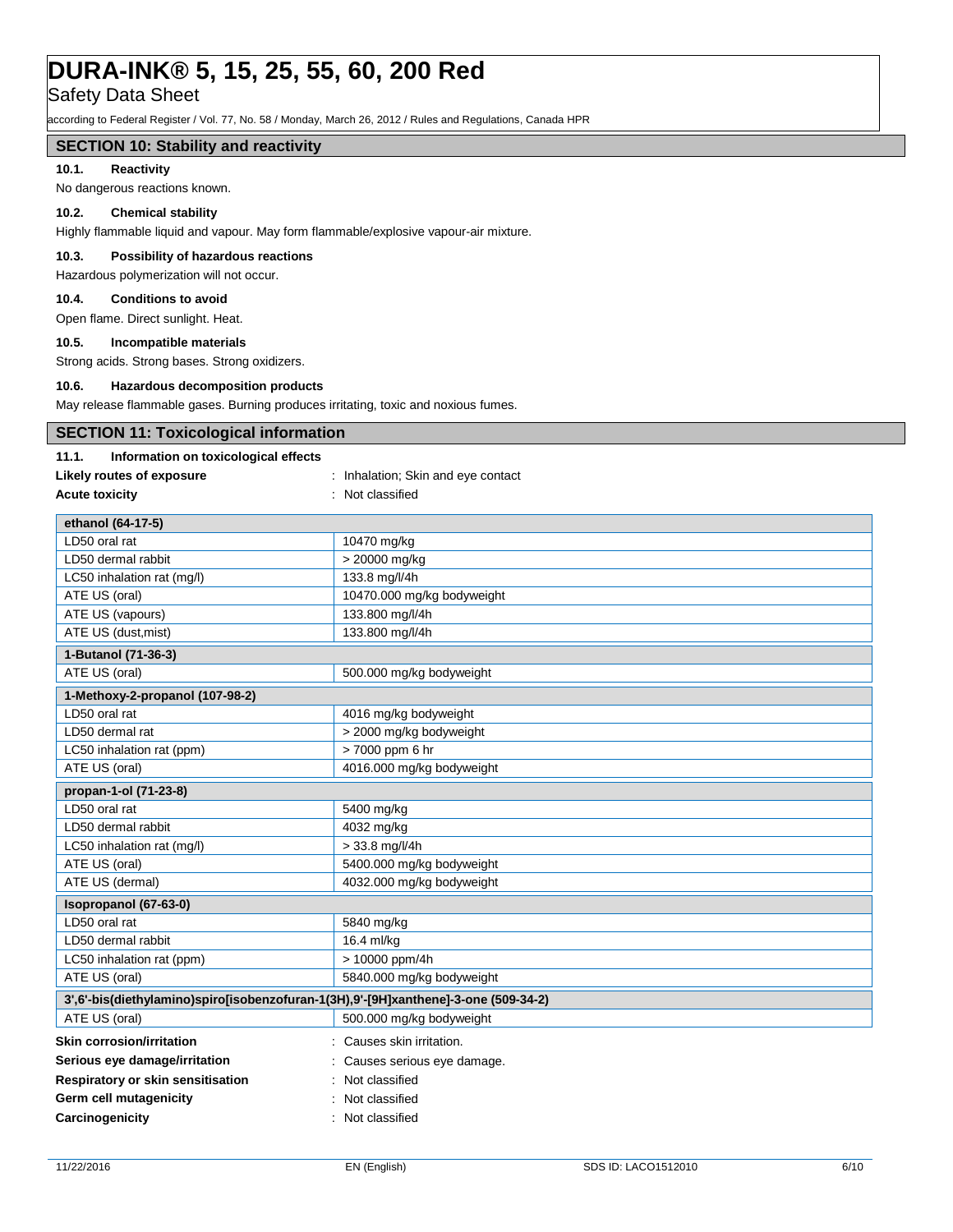Safety Data Sheet

according to Federal Register / Vol. 77, No. 58 / Monday, March 26, 2012 / Rules and Regulations, Canada HPR

### **SECTION 10: Stability and reactivity**

### **10.1. Reactivity**

L

No dangerous reactions known.

### **10.2. Chemical stability**

Highly flammable liquid and vapour. May form flammable/explosive vapour-air mixture.

## **10.3. Possibility of hazardous reactions**

Hazardous polymerization will not occur.

### **10.4. Conditions to avoid**

Open flame. Direct sunlight. Heat.

### **10.5. Incompatible materials**

Strong acids. Strong bases. Strong oxidizers.

### **10.6. Hazardous decomposition products**

May release flammable gases. Burning produces irritating, toxic and noxious fumes.

| <b>SECTION 11: Toxicological information</b>  |                                                                                    |
|-----------------------------------------------|------------------------------------------------------------------------------------|
| Information on toxicological effects<br>11.1. |                                                                                    |
| Likely routes of exposure                     | : Inhalation; Skin and eye contact                                                 |
| <b>Acute toxicity</b>                         | : Not classified                                                                   |
| ethanol (64-17-5)                             |                                                                                    |
| LD50 oral rat                                 | 10470 mg/kg                                                                        |
| LD50 dermal rabbit                            | > 20000 mg/kg                                                                      |
| LC50 inhalation rat (mg/l)                    | 133.8 mg/l/4h                                                                      |
| ATE US (oral)                                 | 10470.000 mg/kg bodyweight                                                         |
| ATE US (vapours)                              | 133.800 mg/l/4h                                                                    |
| ATE US (dust, mist)                           | 133.800 mg/l/4h                                                                    |
| 1-Butanol (71-36-3)                           |                                                                                    |
| ATE US (oral)                                 | 500.000 mg/kg bodyweight                                                           |
| 1-Methoxy-2-propanol (107-98-2)               |                                                                                    |
| LD50 oral rat                                 | 4016 mg/kg bodyweight                                                              |
| LD50 dermal rat                               | > 2000 mg/kg bodyweight                                                            |
| LC50 inhalation rat (ppm)                     | > 7000 ppm 6 hr                                                                    |
| ATE US (oral)                                 | 4016.000 mg/kg bodyweight                                                          |
| propan-1-ol (71-23-8)                         |                                                                                    |
| LD50 oral rat                                 | 5400 mg/kg                                                                         |
| LD50 dermal rabbit                            | 4032 mg/kg                                                                         |
| LC50 inhalation rat (mg/l)                    | > 33.8 mg/l/4h                                                                     |
| ATE US (oral)                                 | 5400.000 mg/kg bodyweight                                                          |
| ATE US (dermal)                               | 4032.000 mg/kg bodyweight                                                          |
| Isopropanol (67-63-0)                         |                                                                                    |
| LD50 oral rat                                 | 5840 mg/kg                                                                         |
| LD50 dermal rabbit                            | 16.4 ml/kg                                                                         |
| LC50 inhalation rat (ppm)                     | > 10000 ppm/4h                                                                     |
| ATE US (oral)                                 | 5840.000 mg/kg bodyweight                                                          |
|                                               | 3',6'-bis(diethylamino)spiro[isobenzofuran-1(3H),9'-[9H]xanthene]-3-one (509-34-2) |
| ATE US (oral)                                 | 500.000 mg/kg bodyweight                                                           |
| <b>Skin corrosion/irritation</b>              | : Causes skin irritation.                                                          |
| Serious eye damage/irritation                 | Causes serious eye damage.                                                         |
| Respiratory or skin sensitisation             | Not classified                                                                     |
| Germ cell mutagenicity                        | Not classified                                                                     |
| Carcinogenicity                               | : Not classified                                                                   |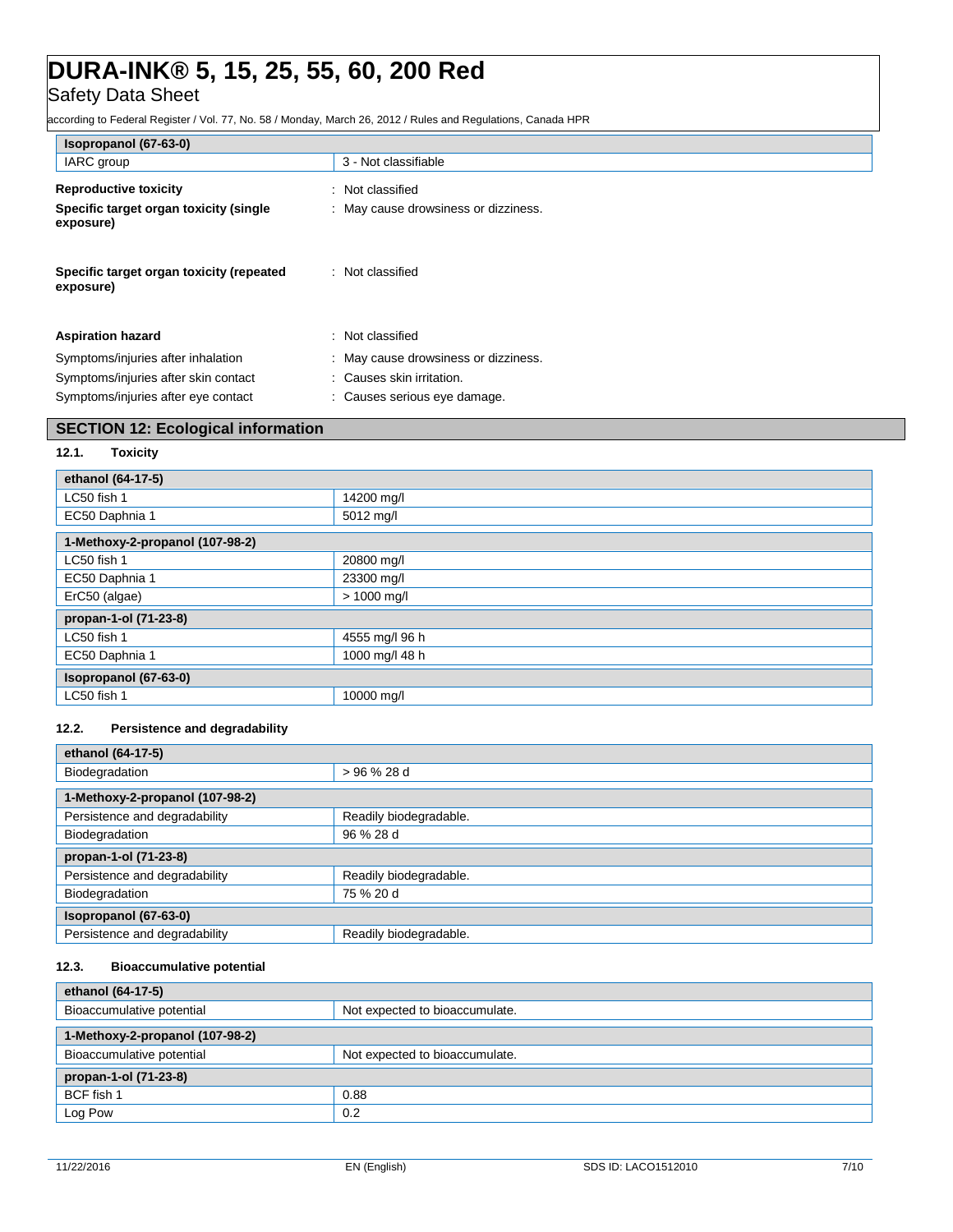Safety Data Sheet

according to Federal Register / Vol. 77, No. 58 / Monday, March 26, 2012 / Rules and Regulations, Canada HPR

| Isopropanol (67-63-0)                                 |                                      |
|-------------------------------------------------------|--------------------------------------|
| IARC group                                            | 3 - Not classifiable                 |
| <b>Reproductive toxicity</b>                          | : Not classified                     |
| Specific target organ toxicity (single<br>exposure)   | : May cause drowsiness or dizziness. |
| Specific target organ toxicity (repeated<br>exposure) | : Not classified                     |
| <b>Aspiration hazard</b>                              | : Not classified                     |
| Symptoms/injuries after inhalation                    | : May cause drowsiness or dizziness. |
| Symptoms/injuries after skin contact                  | : Causes skin irritation.            |
| Symptoms/injuries after eye contact                   | : Causes serious eye damage.         |
| <b>SECTION 12: Ecological information</b>             |                                      |

### **12.1. Toxicity**

| ethanol (64-17-5)               |                |  |
|---------------------------------|----------------|--|
| LC50 fish 1                     | 14200 mg/l     |  |
| EC50 Daphnia 1                  | 5012 mg/l      |  |
| 1-Methoxy-2-propanol (107-98-2) |                |  |
| LC50 fish 1                     | 20800 mg/l     |  |
| EC50 Daphnia 1                  | 23300 mg/l     |  |
| ErC50 (algae)                   | $> 1000$ mg/l  |  |
| propan-1-ol (71-23-8)           |                |  |
| LC50 fish 1                     | 4555 mg/l 96 h |  |
| EC50 Daphnia 1                  | 1000 mg/l 48 h |  |
| Isopropanol (67-63-0)           |                |  |
| LC50 fish 1                     | 10000 mg/l     |  |

### **12.2. Persistence and degradability**

| ethanol (64-17-5)               |                        |  |
|---------------------------------|------------------------|--|
| Biodegradation                  | > 96 % 28 d            |  |
|                                 |                        |  |
| 1-Methoxy-2-propanol (107-98-2) |                        |  |
| Persistence and degradability   | Readily biodegradable. |  |
| Biodegradation                  | 96 % 28 d              |  |
| propan-1-ol (71-23-8)           |                        |  |
| Persistence and degradability   | Readily biodegradable. |  |
| Biodegradation                  | 75 % 20 d              |  |
| Isopropanol (67-63-0)           |                        |  |
| Persistence and degradability   | Readily biodegradable. |  |

## **12.3. Bioaccumulative potential**

| ethanol (64-17-5)               |                                |
|---------------------------------|--------------------------------|
| Bioaccumulative potential       | Not expected to bioaccumulate. |
| 1-Methoxy-2-propanol (107-98-2) |                                |
| Bioaccumulative potential       | Not expected to bioaccumulate. |
| propan-1-ol (71-23-8)           |                                |
| BCF fish 1                      | 0.88                           |
| Log Pow                         | 0.2                            |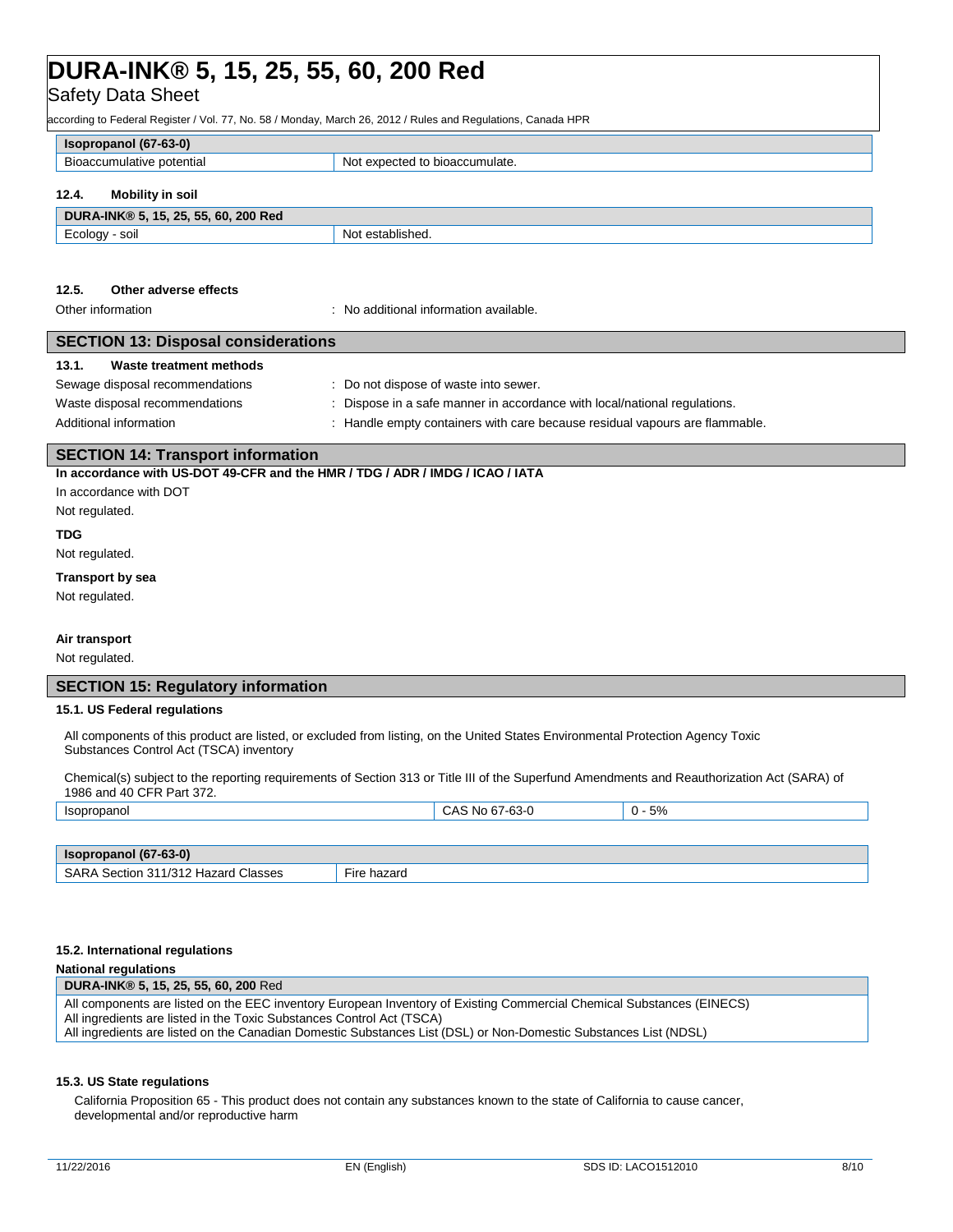## Safety Data Sheet

according to Federal Register / Vol. 77, No. 58 / Monday, March 26, 2012 / Rules and Regulations, Canada HPR

| Isopropanol (67-63-0)     |                                |
|---------------------------|--------------------------------|
| Bioaccumulative potential | Not expected to bioaccumulate. |
| 12.4.<br>Mobility in soil |                                |

| DURA-INK® 5,<br>, 15, 25, 55, 60, 200 Red |                             |
|-------------------------------------------|-----------------------------|
| soil<br>⊏cology                           | established.<br>NI∩'<br>. . |

### **12.5. Other adverse effects**

Other information : No additional information available.

### **SECTION 13: Disposal considerations**

| 13.1. | Waste treatment methods |  |
|-------|-------------------------|--|
|-------|-------------------------|--|

| Sewage disposal recommendations | : Do not dispose of waste into sewer.                                       |
|---------------------------------|-----------------------------------------------------------------------------|
| Waste disposal recommendations  | : Dispose in a safe manner in accordance with local/national regulations.   |
| Additional information          | . Handle empty containers with care because residual vapours are flammable. |

### **SECTION 14: Transport information**

**In accordance with US-DOT 49-CFR and the HMR / TDG / ADR / IMDG / ICAO / IATA**

## In accordance with DOT

Not regulated.

### **TDG**

Not regulated.

### **Transport by sea**

Not regulated.

### **Air transport**

Not regulated.

### **SECTION 15: Regulatory information**

### **15.1. US Federal regulations**

All components of this product are listed, or excluded from listing, on the United States Environmental Protection Agency Toxic Substances Control Act (TSCA) inventory

Chemical(s) subject to the reporting requirements of Section 313 or Title III of the Superfund Amendments and Reauthorization Act (SARA) of 1986 and 40 CFR Part 372.

| <b>Isopropanol</b>    | CAS No 67-63-0 | 5%<br>∩ - |
|-----------------------|----------------|-----------|
|                       |                |           |
| Isopropanol (67-63-0) |                |           |

| SARA<br>1311/312 Hazard C<br>Classes<br>Section | -<br>hazard<br><b>Fire</b> |
|-------------------------------------------------|----------------------------|
|                                                 |                            |

### **15.2. International regulations**

### **National regulations**

**DURA-INK® 5, 15, 25, 55, 60, 200** Red All components are listed on the EEC inventory European Inventory of Existing Commercial Chemical Substances (EINECS) All ingredients are listed in the Toxic Substances Control Act (TSCA) All ingredients are listed on the Canadian Domestic Substances List (DSL) or Non-Domestic Substances List (NDSL)

### **15.3. US State regulations**

California Proposition 65 - This product does not contain any substances known to the state of California to cause cancer, developmental and/or reproductive harm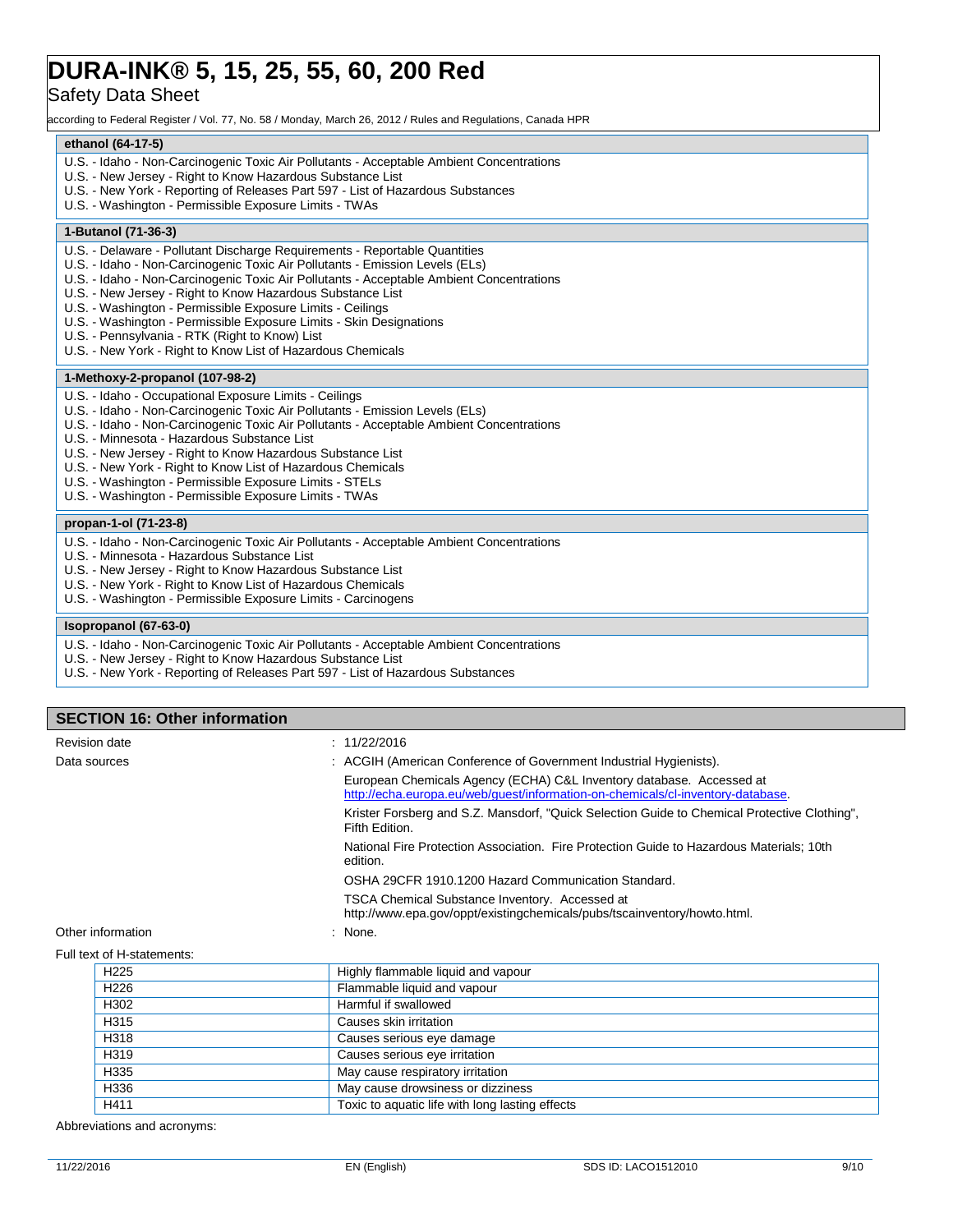## Safety Data Sheet

according to Federal Register / Vol. 77, No. 58 / Monday, March 26, 2012 / Rules and Regulations, Canada HPR

### **ethanol (64-17-5)**

- U.S. Idaho Non-Carcinogenic Toxic Air Pollutants Acceptable Ambient Concentrations
- U.S. New Jersey Right to Know Hazardous Substance List
- U.S. New York Reporting of Releases Part 597 List of Hazardous Substances
- U.S. Washington Permissible Exposure Limits TWAs

### **1-Butanol (71-36-3)**

- U.S. Delaware Pollutant Discharge Requirements Reportable Quantities
- U.S. Idaho Non-Carcinogenic Toxic Air Pollutants Emission Levels (ELs)
- U.S. Idaho Non-Carcinogenic Toxic Air Pollutants Acceptable Ambient Concentrations
- U.S. New Jersey Right to Know Hazardous Substance List
- U.S. Washington Permissible Exposure Limits Ceilings
- U.S. Washington Permissible Exposure Limits Skin Designations
- U.S. Pennsylvania RTK (Right to Know) List
- U.S. New York Right to Know List of Hazardous Chemicals

### **1-Methoxy-2-propanol (107-98-2)**

- U.S. Idaho Occupational Exposure Limits Ceilings
- U.S. Idaho Non-Carcinogenic Toxic Air Pollutants Emission Levels (ELs)
- U.S. Idaho Non-Carcinogenic Toxic Air Pollutants Acceptable Ambient Concentrations
- U.S. Minnesota Hazardous Substance List
- U.S. New Jersey Right to Know Hazardous Substance List
- U.S. New York Right to Know List of Hazardous Chemicals
- U.S. Washington Permissible Exposure Limits STELs
- U.S. Washington Permissible Exposure Limits TWAs

### **propan-1-ol (71-23-8)**

- U.S. Idaho Non-Carcinogenic Toxic Air Pollutants Acceptable Ambient Concentrations
- U.S. Minnesota Hazardous Substance List
- U.S. New Jersey Right to Know Hazardous Substance List
- U.S. New York Right to Know List of Hazardous Chemicals
- U.S. Washington Permissible Exposure Limits Carcinogens

### **Isopropanol (67-63-0)**

- U.S. Idaho Non-Carcinogenic Toxic Air Pollutants Acceptable Ambient Concentrations
- U.S. New Jersey Right to Know Hazardous Substance List
- U.S. New York Reporting of Releases Part 597 List of Hazardous Substances

### **SECTION 16: Other information** Revision date : 11/22/2016

| Data sources                    | : ACGIH (American Conference of Government Industrial Hygienists).                                                                                      |
|---------------------------------|---------------------------------------------------------------------------------------------------------------------------------------------------------|
|                                 | European Chemicals Agency (ECHA) C&L Inventory database. Accessed at<br>http://echa.europa.eu/web/quest/information-on-chemicals/cl-inventory-database. |
|                                 | Krister Forsberg and S.Z. Mansdorf, "Quick Selection Guide to Chemical Protective Clothing",<br>Fifth Edition.                                          |
|                                 | National Fire Protection Association. Fire Protection Guide to Hazardous Materials; 10th<br>edition.                                                    |
|                                 | OSHA 29CFR 1910.1200 Hazard Communication Standard.                                                                                                     |
|                                 | <b>TSCA Chemical Substance Inventory. Accessed at</b><br>http://www.epa.gov/oppt/existingchemicals/pubs/tscainventory/howto.html.                       |
| Other information               | : None.                                                                                                                                                 |
| $EU$ ll toyt of $H$ etatementer |                                                                                                                                                         |

|  | Full text of H-statements: |  |
|--|----------------------------|--|
|  |                            |  |

| H <sub>225</sub> | Highly flammable liquid and vapour              |
|------------------|-------------------------------------------------|
| H <sub>226</sub> | Flammable liquid and vapour                     |
| H302             | Harmful if swallowed                            |
| H315             | Causes skin irritation                          |
| H318             | Causes serious eye damage                       |
| H319             | Causes serious eye irritation                   |
| H335             | May cause respiratory irritation                |
| H336             | May cause drowsiness or dizziness               |
| H411             | Toxic to aquatic life with long lasting effects |

Abbreviations and acronyms: